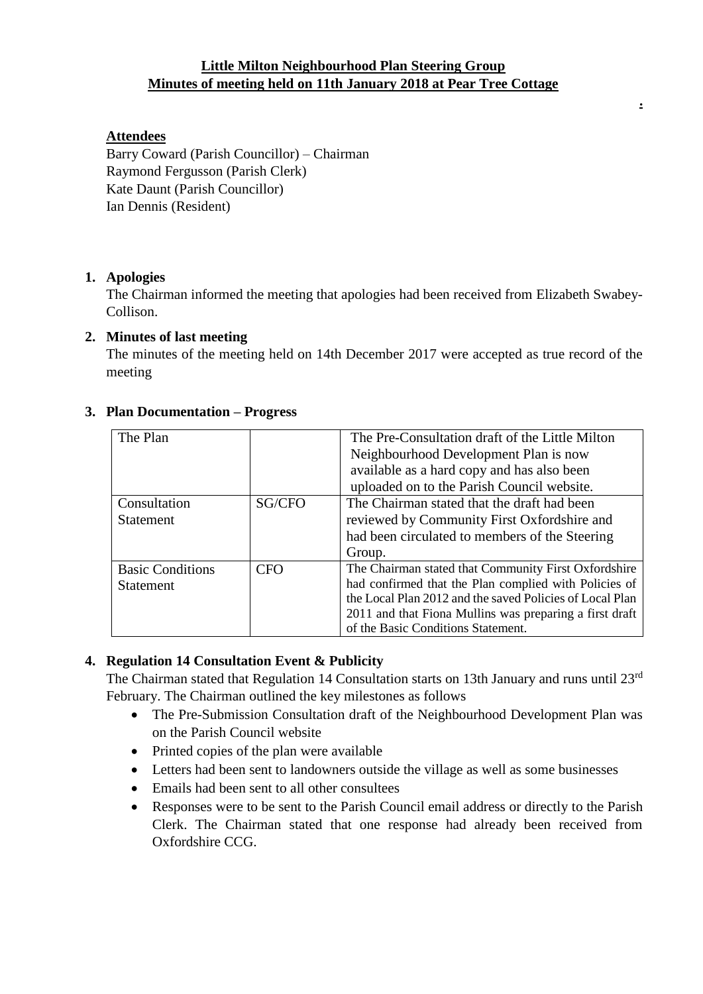### **Little Milton Neighbourhood Plan Steering Group Minutes of meeting held on 11th January 2018 at Pear Tree Cottage**

**.**

### **Attendees**

Barry Coward (Parish Councillor) – Chairman Raymond Fergusson (Parish Clerk) Kate Daunt (Parish Councillor) Ian Dennis (Resident)

### **1. Apologies**

The Chairman informed the meeting that apologies had been received from Elizabeth Swabey-Collison.

#### **2. Minutes of last meeting**

The minutes of the meeting held on 14th December 2017 were accepted as true record of the meeting

| The Plan                |        | The Pre-Consultation draft of the Little Milton          |
|-------------------------|--------|----------------------------------------------------------|
|                         |        | Neighbourhood Development Plan is now                    |
|                         |        | available as a hard copy and has also been               |
|                         |        | uploaded on to the Parish Council website.               |
| Consultation            | SG/CFO | The Chairman stated that the draft had been              |
| <b>Statement</b>        |        | reviewed by Community First Oxfordshire and              |
|                         |        | had been circulated to members of the Steering           |
|                         |        | Group.                                                   |
| <b>Basic Conditions</b> | CFO    | The Chairman stated that Community First Oxfordshire     |
| <b>Statement</b>        |        | had confirmed that the Plan complied with Policies of    |
|                         |        | the Local Plan 2012 and the saved Policies of Local Plan |
|                         |        | 2011 and that Fiona Mullins was preparing a first draft  |
|                         |        | of the Basic Conditions Statement.                       |

#### **3. Plan Documentation – Progress**

### **4. Regulation 14 Consultation Event & Publicity**

The Chairman stated that Regulation 14 Consultation starts on 13th January and runs until 23<sup>rd</sup> February. The Chairman outlined the key milestones as follows

- The Pre-Submission Consultation draft of the Neighbourhood Development Plan was on the Parish Council website
- Printed copies of the plan were available
- Letters had been sent to landowners outside the village as well as some businesses
- Emails had been sent to all other consultees
- Responses were to be sent to the Parish Council email address or directly to the Parish Clerk. The Chairman stated that one response had already been received from Oxfordshire CCG.